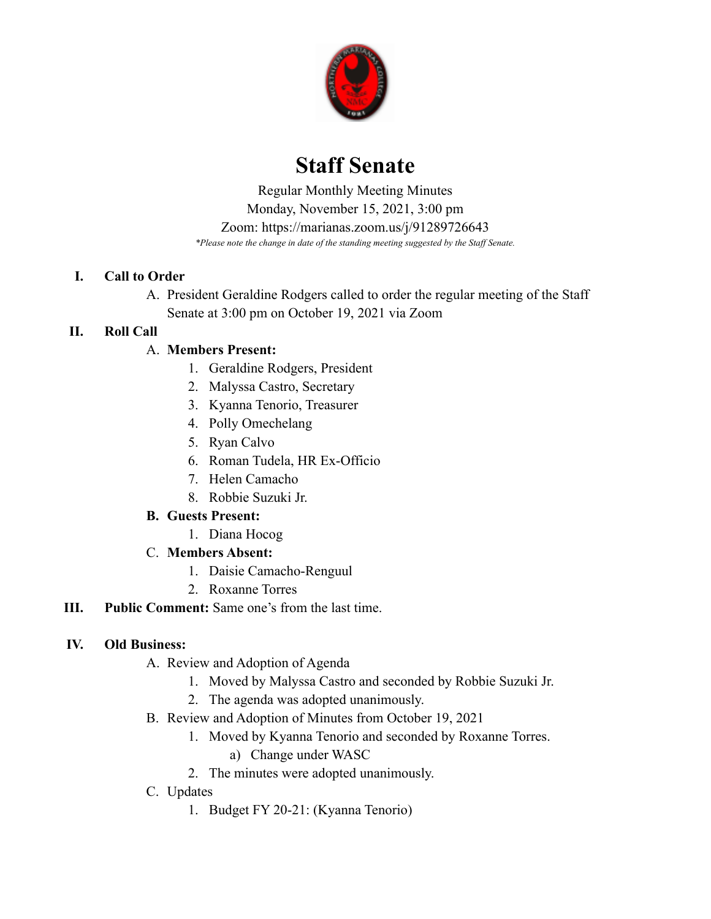

# **Staff Senate**

 *\*Please note the change in date of the standing meeting suggested by the Staff Senate.* Regular Monthly Meeting Minutes Monday, November 15, 2021, 3:00 pm Zoom: <https://marianas.zoom.us/j/91289726643>

## **I. Call to Order**

A. President Geraldine Rodgers called to order the regular meeting of the Staff Senate at 3:00 pm on October 19, 2021 via Zoom

# **II. Roll Call**

# A. **Members Present:**

- 1. Geraldine Rodgers, President
- 2. Malyssa Castro, Secretary
- 3. Kyanna Tenorio, Treasurer
- 4. Polly Omechelang
- 5. Ryan Calvo
- 6. Roman Tudela, HR Ex-Officio
- 7. Helen Camacho
- 8. Robbie Suzuki Jr.

## **B. Guests Present:**

- 1. Diana Hocog
- C. **Members Absent:**
	- 1. Daisie Camacho-Renguul
	- 2. Roxanne Torres
- **III. Public Comment:** Same one's from the last time.

## **IV. Old Business:**

- A. Review and Adoption of Agenda
	- 1. Moved by Malyssa Castro and seconded by Robbie Suzuki Jr.
	- 2. The agenda was adopted unanimously.
- B. Review and Adoption of Minutes from October 19, 2021
	- 1. Moved by Kyanna Tenorio and seconded by Roxanne Torres.
		- a) Change under WASC
	- 2. The minutes were adopted unanimously.
- C. Updates
	- 1. Budget FY 20-21: (Kyanna Tenorio)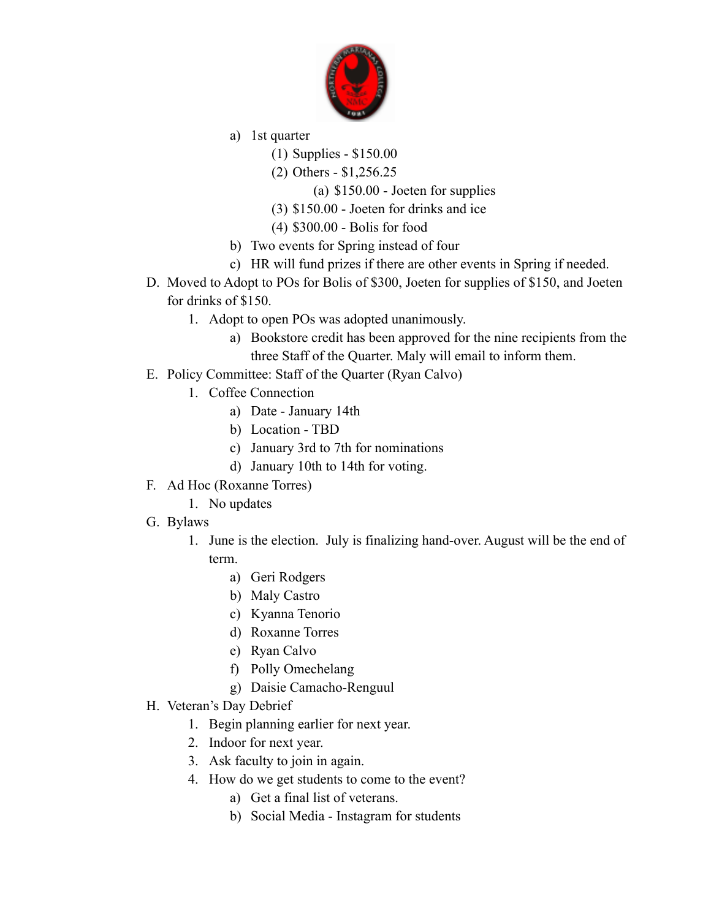

- a) 1st quarter
	- (1) Supplies \$150.00
	- (2) Others \$[1,256.25](https://1,256.25)

(a) \$150.00 - Joeten for supplies

- (3) \$150.00 Joeten for drinks and ice
- (4) \$300.00 Bolis for food
- b) Two events for Spring instead of four
- c) HR will fund prizes if there are other events in Spring if needed.
- D. Moved to Adopt to POs for Bolis of \$300, Joeten for supplies of \$150, and Joeten for drinks of \$150.
	- 1. Adopt to open POs was adopted unanimously.
		- a) Bookstore credit has been approved for the nine recipients from the three Staff of the Quarter. Maly will email to inform them.
- E. Policy Committee: Staff of the Quarter (Ryan Calvo)
	- 1. Coffee Connection
		- a) Date January 14th
		- b) Location TBD
		- c) January 3rd to 7th for nominations
		- d) January 10th to 14th for voting.
- F. Ad Hoc (Roxanne Torres)
	- 1. No updates
- G. Bylaws
	- 1. June is the election. July is finalizing hand-over. August will be the end of term.
		- a) Geri Rodgers
		- b) Maly Castro
		- c) Kyanna Tenorio
		- d) Roxanne Torres
		- e) Ryan Calvo
		- f) Polly Omechelang
		- g) Daisie Camacho-Renguul
- H. Veteran's Day Debrief
	- 1. Begin planning earlier for next year.
	- 2. Indoor for next year.
	- 3. Ask faculty to join in again.
	- 4. How do we get students to come to the event?
		- a) Get a final list of veterans.
		- b) Social Media Instagram for students